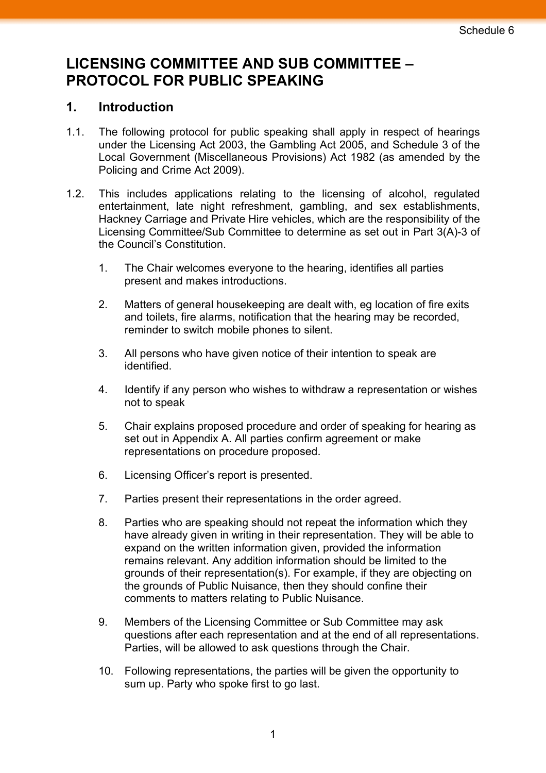## **LICENSING COMMITTEE AND SUB COMMITTEE – PROTOCOL FOR PUBLIC SPEAKING**

## **1. Introduction**

- 1.1. The following protocol for public speaking shall apply in respect of hearings under the Licensing Act 2003, the Gambling Act 2005, and Schedule 3 of the Local Government (Miscellaneous Provisions) Act 1982 (as amended by the Policing and Crime Act 2009).
- 1.2. This includes applications relating to the licensing of alcohol, regulated entertainment, late night refreshment, gambling, and sex establishments, Hackney Carriage and Private Hire vehicles, which are the responsibility of the Licensing Committee/Sub Committee to determine as set out in Part 3(A)-3 of the Council's Constitution.
	- 1. The Chair welcomes everyone to the hearing, identifies all parties present and makes introductions.
	- 2. Matters of general housekeeping are dealt with, eg location of fire exits and toilets, fire alarms, notification that the hearing may be recorded, reminder to switch mobile phones to silent.
	- 3. All persons who have given notice of their intention to speak are identified.
	- 4. Identify if any person who wishes to withdraw a representation or wishes not to speak
	- 5. Chair explains proposed procedure and order of speaking for hearing as set out in Appendix A. All parties confirm agreement or make representations on procedure proposed.
	- 6. Licensing Officer's report is presented.
	- 7. Parties present their representations in the order agreed.
	- 8. Parties who are speaking should not repeat the information which they have already given in writing in their representation. They will be able to expand on the written information given, provided the information remains relevant. Any addition information should be limited to the grounds of their representation(s). For example, if they are objecting on the grounds of Public Nuisance, then they should confine their comments to matters relating to Public Nuisance.
	- 9. Members of the Licensing Committee or Sub Committee may ask questions after each representation and at the end of all representations. Parties, will be allowed to ask questions through the Chair.
	- 10. Following representations, the parties will be given the opportunity to sum up. Party who spoke first to go last.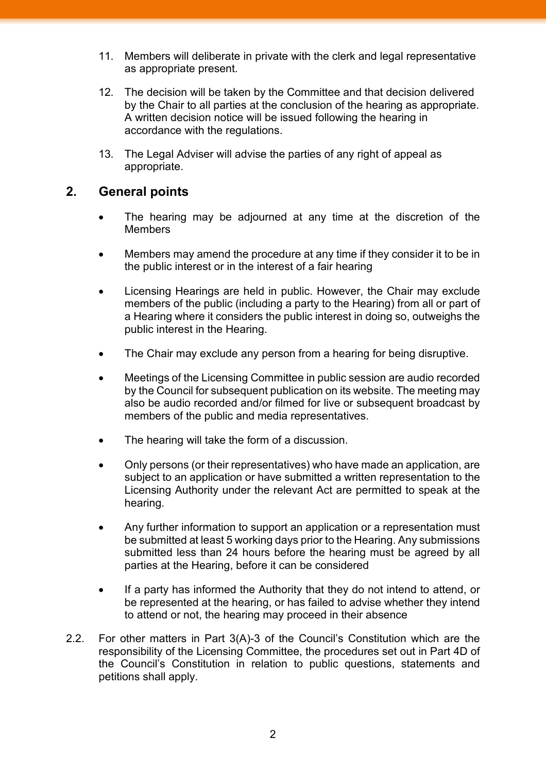- 11. Members will deliberate in private with the clerk and legal representative as appropriate present.
- 12. The decision will be taken by the Committee and that decision delivered by the Chair to all parties at the conclusion of the hearing as appropriate. A written decision notice will be issued following the hearing in accordance with the regulations.
- 13. The Legal Adviser will advise the parties of any right of appeal as appropriate.

## **2. General points**

- The hearing may be adjourned at any time at the discretion of the **Members**
- Members may amend the procedure at any time if they consider it to be in the public interest or in the interest of a fair hearing
- Licensing Hearings are held in public. However, the Chair may exclude members of the public (including a party to the Hearing) from all or part of a Hearing where it considers the public interest in doing so, outweighs the public interest in the Hearing.
- The Chair may exclude any person from a hearing for being disruptive.
- Meetings of the Licensing Committee in public session are audio recorded by the Council for subsequent publication on its website. The meeting may also be audio recorded and/or filmed for live or subsequent broadcast by members of the public and media representatives.
- The hearing will take the form of a discussion.
- Only persons (or their representatives) who have made an application, are subject to an application or have submitted a written representation to the Licensing Authority under the relevant Act are permitted to speak at the hearing.
- Any further information to support an application or a representation must be submitted at least 5 working days prior to the Hearing. Any submissions submitted less than 24 hours before the hearing must be agreed by all parties at the Hearing, before it can be considered
- If a party has informed the Authority that they do not intend to attend, or be represented at the hearing, or has failed to advise whether they intend to attend or not, the hearing may proceed in their absence
- 2.2. For other matters in Part 3(A)-3 of the Council's Constitution which are the responsibility of the Licensing Committee, the procedures set out in Part 4D of the Council's Constitution in relation to public questions, statements and petitions shall apply.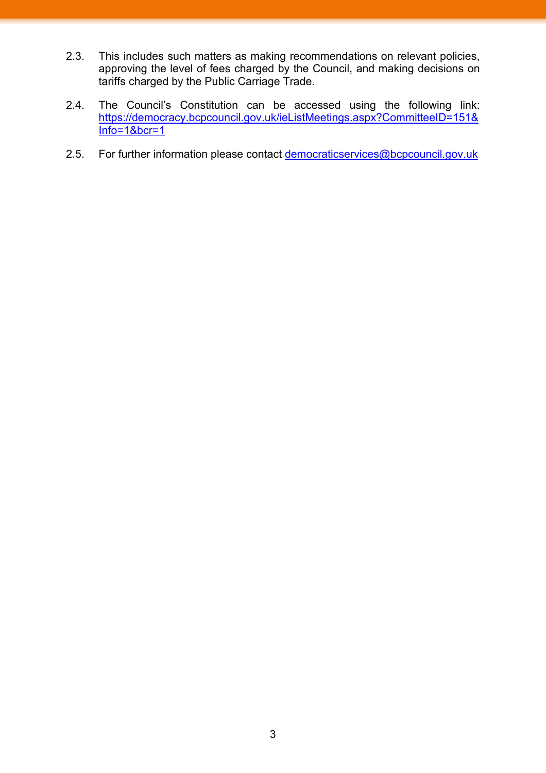- 2.3. This includes such matters as making recommendations on relevant policies, approving the level of fees charged by the Council, and making decisions on tariffs charged by the Public Carriage Trade.
- 2.4. The Council's Constitution can be accessed using the following link: [https://democracy.bcpcouncil.gov.uk/ieListMeetings.aspx?CommitteeID=151&](https://democracy.bcpcouncil.gov.uk/ieListMeetings.aspx?CommitteeID=151&Info=1&bcr=1) [Info=1&bcr=1](https://democracy.bcpcouncil.gov.uk/ieListMeetings.aspx?CommitteeID=151&Info=1&bcr=1)
- 2.5. For further information please contact [democraticservices@bcpcouncil.gov.uk](mailto:democraticservices@bcpcouncil.gov.uk)